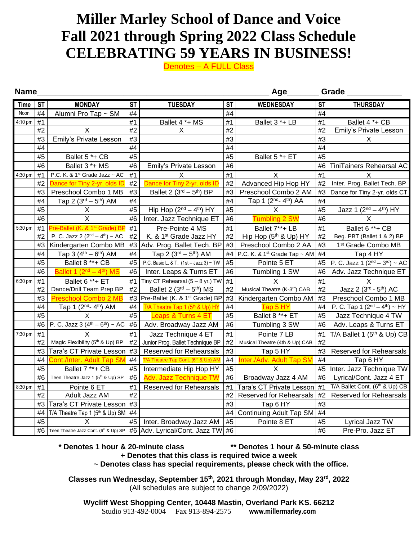## **Miller Marley School of Dance and Voice Fall 2021 through Spring 2022 Class Schedule CELEBRATING 59 YEARS IN BUSINESS!**

Denotes – A FULL Class

| <b>Name</b><br>Age |           |                                               |           |                                                                                               |           |                                              |           | Grade                                    |  |  |  |
|--------------------|-----------|-----------------------------------------------|-----------|-----------------------------------------------------------------------------------------------|-----------|----------------------------------------------|-----------|------------------------------------------|--|--|--|
| <b>Time</b>        | <b>ST</b> | <b>MONDAY</b>                                 | <b>ST</b> | <b>TUESDAY</b>                                                                                | <b>ST</b> | <b>WEDNESDAY</b>                             | <b>ST</b> | <b>THURSDAY</b>                          |  |  |  |
| Noon               | #4        | Alumni Pro Tap ~ SM                           | #4        |                                                                                               | #4        |                                              | #4        |                                          |  |  |  |
| 4:10 pm            | #1        |                                               | #1        | Ballet 4 *+ MS                                                                                | #1        | Ballet 3 *+ LB                               | #1        | Ballet 4 *+ CB                           |  |  |  |
|                    | #2        | X                                             | #2        | X                                                                                             | #2        |                                              | #2        | Emily's Private Lesson                   |  |  |  |
|                    | #3        | Emily's Private Lesson                        | #3        |                                                                                               | #3        |                                              | #3        | X.                                       |  |  |  |
|                    | #4        |                                               | #4        |                                                                                               | #4        |                                              | #4        |                                          |  |  |  |
|                    | #5        | Ballet 5 *+ CB                                | #5        |                                                                                               | #5        | Ballet 5 *+ ET                               | #5        |                                          |  |  |  |
|                    | #6        | Ballet 3 *+ MS                                | #6        | Emily's Private Lesson                                                                        | #6        |                                              | #6        | TiniTainers Rehearsal AC                 |  |  |  |
| 4:30 pm            | #1        | P.C. K. & 1 <sup>st</sup> Grade Jazz ~ AC     | #1        | X                                                                                             | #1        | X                                            | #1        | X                                        |  |  |  |
|                    | #2        | Dance for Tiny 2-yr. olds ID                  | #2        | Dance for Tiny 2-yr. olds ID                                                                  | #2        | Advanced Hip Hop HY                          | #2        | Inter. Prog. Ballet Tech. BP             |  |  |  |
|                    | #3        | Preschool Combo 1 MB                          | #3        | Ballet 2 $(3rd – 5th)$ BP                                                                     | #3        | Preschool Combo 2 AM                         | #3        | Dance for Tiny 2-yr. olds CT             |  |  |  |
|                    | #4        | Tap 2 $(3^{rd} - 5^{th})$ AM                  | #4        |                                                                                               | #4        | Tap 1 (2 <sup>nd</sup> -4 <sup>th</sup> ) AA | #4        |                                          |  |  |  |
|                    | #5        | X                                             | #5        | Hip Hop $(2^{nd} – 4^{th})$ HY                                                                | #5        | X                                            | #5        | Jazz 1 $(2^{nd} - 4^{th})$ HY            |  |  |  |
|                    | #6        | $\sf X$                                       | #6        | Inter. Jazz Technique ET                                                                      | #6        | <b>Tumbling 2 SW</b>                         | #6        | X                                        |  |  |  |
| 5:30 pm            | #1        | Pre-Ballet (K. & 1 <sup>st</sup> Grade) BP    | #1        | Pre-Pointe 4 MS                                                                               | #1        | Ballet 7**+ LB                               | #1        | Ballet 6 **+ CB                          |  |  |  |
|                    | #2        | P. C. Jazz 2 ( $2^{nd} - 4^{th}$ ) ~ AC       | #2        | K. & 1st Grade Jazz HY                                                                        | #2        | Hip Hop (5th & Up) HY                        | #2        | Beg. PBT (Ballet 1 & 2) BP               |  |  |  |
|                    | #3        | Kindergarten Combo MB                         |           | #3 Adv. Prog. Ballet Tech. BP                                                                 | #3        | Preschool Combo 2 AA                         | #3        | 1 <sup>st</sup> Grade Combo MB           |  |  |  |
|                    | #4        | Tap 3 $(4^{th} - 6^{th})$ AM                  | #4        | Tap 2 $(3^{rd} – 5^{th})$ AM                                                                  | #4        | P.C. K. & 1 <sup>st</sup> Grade Tap ~ AM     | #4        | Tap 4 HY                                 |  |  |  |
|                    | #5        | Ballet 8 **+ CB                               | #5        | P.C. Basic L. & T. (1st - Jazz 3) ~ TW                                                        | #5        | Pointe 5 ET                                  | #5        | P. C. Jazz 1 $(2^{nd} - 3^{rd}) \sim AC$ |  |  |  |
|                    | #6        | Ballet 1 $(2nd – 4th)$ MS                     | #6        | Inter. Leaps & Turns ET                                                                       | #6        | Tumbling 1 SW                                | #6        | Adv. Jazz Technique ET                   |  |  |  |
| 6:30 pm            | #1        | Ballet 6 **+ ET                               | #1        | Tiny CT Rehearsal $(5 - 8$ yr.) TW                                                            | #1        | $\overline{\mathsf{x}}$                      | #1        | $\mathsf{X}$                             |  |  |  |
|                    | #2        | Dance/Drill Team Prep BP                      | #2        | Ballet 2 $(3rd – 5th)$ MS                                                                     | #2        | Musical Theatre (K-3rd) CAB                  | #2        | Jazz 2 (3rd - 5th) AC                    |  |  |  |
|                    | #3        | <b>Preschool Combo 2 MB</b>                   |           | #3 Pre-Ballet (K. & 1 <sup>st</sup> Grade) BP                                                 | #3        | Kindergarten Combo AM                        | #3        | Preschool Combo 1 MB                     |  |  |  |
|                    | #4        | Tap 1 (2 <sup>nd</sup> - 4 <sup>th</sup> ) AM | #4        | T/A Theatre Tap 1 (5 <sup>th</sup> & Up) HY                                                   | #4        | Tap 5 HY                                     | #4        | P. C. Tap 1 $(2^{nd} – 4^{th}) ~ ~ ~ HY$ |  |  |  |
|                    | #5        | X                                             | #5        | <b>Leaps &amp; Turns 4 ET</b>                                                                 | #5        | Ballet 8 **+ ET                              | #5        | Jazz Technique 4 TW                      |  |  |  |
|                    | #6        | P. C. Jazz 3 $(4^{th} - 6^{th}) \sim AC$      | #6        | Adv. Broadway Jazz AM                                                                         | #6        | Tumbling 3 SW                                | #6        | Adv. Leaps & Turns ET                    |  |  |  |
| 7:30 pm            | #1        | X                                             | #1        | Jazz Technique 4 ET                                                                           | #1        | Pointe 7 LB                                  | #1        | T/A Ballet 1 $(5th$ & Up) CB             |  |  |  |
|                    | #2        | Magic Flexibility (5th & Up) BP               | #2        | Junior Prog. Ballet Technique BP                                                              | #2        | Musical Theatre (4th & Up) CAB               | #2        |                                          |  |  |  |
|                    | #3        | Tara's CT Private Lesson                      | #3        | Reserved for Rehearsals                                                                       | #3        | Tap 5 HY                                     | #3        | <b>Reserved for Rehearsals</b>           |  |  |  |
|                    | #4        | <b>Cont./Inter. Adult Tap SM</b>              | #4        | T/A Theatre Tap Cont. (6th & Up) AM                                                           | #4        | Inter./Adv. Adult Tap SM                     | #4        | Tap 6 HY                                 |  |  |  |
|                    | #5        | Ballet 7 **+ CB                               | #5        | Intermediate Hip Hop HY                                                                       | #5        | X                                            | #5        | Inter. Jazz Technique TW                 |  |  |  |
|                    | #6        | Teen Theatre Jazz 1 (5th & Up) SP             | #6        | <b>Adv. Jazz Technique TW</b>                                                                 | #6        | Broadway Jazz 4 AM                           | #6        | Lyrical/Cont. Jazz 4 ET                  |  |  |  |
| 8:30 pm            | #1        | Pointe 6 ET                                   | #1        | Reserved for Rehearsals                                                                       | #1        | Tara's CT Private Lesson                     | #1        | T/A Ballet Cont. (6th & Up) CB           |  |  |  |
|                    | #2        | Adult Jazz AM                                 | #2        |                                                                                               | #2        | Reserved for Rehearsals                      | #2        | <b>Reserved for Rehearsals</b>           |  |  |  |
|                    | #3        | Tara's CT Private Lesson #3                   |           |                                                                                               | #3        | Tap 6 HY                                     | #3        |                                          |  |  |  |
|                    | #4        | T/A Theatre Tap 1 ( $5th$ & Up) SM $\#4$      |           |                                                                                               |           | #4   Continuing Adult Tap SM                 | #4        |                                          |  |  |  |
|                    | #5        | $\sf X$                                       | #5        | Inter. Broadway Jazz AM                                                                       | #5        | Pointe 8 ET                                  | #5        | Lyrical Jazz TW                          |  |  |  |
|                    |           |                                               |           | #6   Teen Theatre Jazz Cont. (6 <sup>th</sup> & Up) SP   #6   Adv. Lyrical/Cont. Jazz TW   #6 |           |                                              | #6        | Pre-Pro. Jazz ET                         |  |  |  |

## **\* Denotes 1 hour & 20-minute class \*\* Denotes 1 hour & 50-minute class**

**+ Denotes that this class is required twice a week**

**~ Denotes class has special requirements, please check with the office.**

**Classes run Wednesday, September 15th, 2021 through Monday, May 23rd, 2022** (All schedules are subject to change 2/09/2022)

**Wycliff West Shopping Center, 10448 Mastin, Overland Park KS. 66212** Studio 913-492-0004 Fax 913-894-2575 **[www.millermarley.com](http://www.millermarley.com/)**